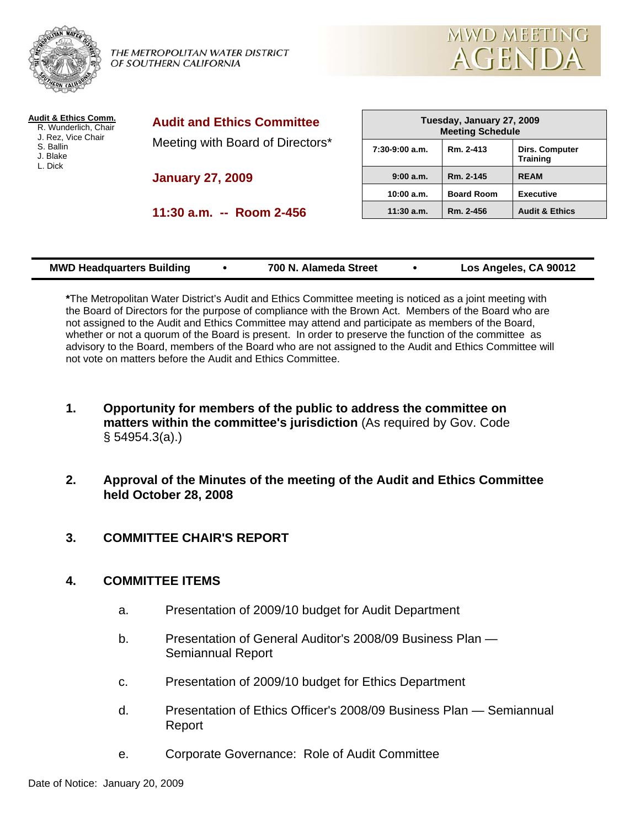

THE METROPOLITAN WATER DISTRICT OF SOUTHERN CALIFORNIA



| Audit & Ethics Comm.<br>R. Wunderlich, Chair<br>J. Rez, Vice Chair<br>S. Ballin<br>J. Blake<br>L. Dick | <b>Audit and Ethics Committee</b><br>Meeting with Board of Directors* | Tuesday, January 27, 2009<br><b>Meeting Schedule</b> |                   |                                          |
|--------------------------------------------------------------------------------------------------------|-----------------------------------------------------------------------|------------------------------------------------------|-------------------|------------------------------------------|
|                                                                                                        |                                                                       | $7:30-9:00$ a.m.                                     | Rm. 2-413         | <b>Dirs. Computer</b><br><b>Training</b> |
|                                                                                                        | <b>January 27, 2009</b>                                               | 9:00 a.m.                                            | Rm. 2-145         | <b>REAM</b>                              |
|                                                                                                        |                                                                       | 10:00 a.m.                                           | <b>Board Room</b> | <b>Executive</b>                         |
|                                                                                                        | 11:30 a.m. -- Room 2-456                                              | $11:30$ a.m.                                         | Rm. 2-456         | <b>Audit &amp; Ethics</b>                |
|                                                                                                        |                                                                       |                                                      |                   |                                          |
|                                                                                                        |                                                                       |                                                      |                   |                                          |

| <b>MWD Headquarters Building</b> |  | 700 N. Alameda Street |  | Los Angeles, CA 90012 |
|----------------------------------|--|-----------------------|--|-----------------------|
|----------------------------------|--|-----------------------|--|-----------------------|

**\***The Metropolitan Water District's Audit and Ethics Committee meeting is noticed as a joint meeting with the Board of Directors for the purpose of compliance with the Brown Act. Members of the Board who are not assigned to the Audit and Ethics Committee may attend and participate as members of the Board, whether or not a quorum of the Board is present. In order to preserve the function of the committee as advisory to the Board, members of the Board who are not assigned to the Audit and Ethics Committee will not vote on matters before the Audit and Ethics Committee.

- **1. Opportunity for members of the public to address the committee on matters within the committee's jurisdiction** (As required by Gov. Code § 54954.3(a).)
- **2. Approval of the Minutes of the meeting of the Audit and Ethics Committee held October 28, 2008**

# **3. COMMITTEE CHAIR'S REPORT**

# **4. COMMITTEE ITEMS**

- a. Presentation of 2009/10 budget for Audit Department
- b. Presentation of General Auditor's 2008/09 Business Plan Semiannual Report
- c. Presentation of 2009/10 budget for Ethics Department
- d. Presentation of Ethics Officer's 2008/09 Business Plan Semiannual Report
- e. Corporate Governance: Role of Audit Committee